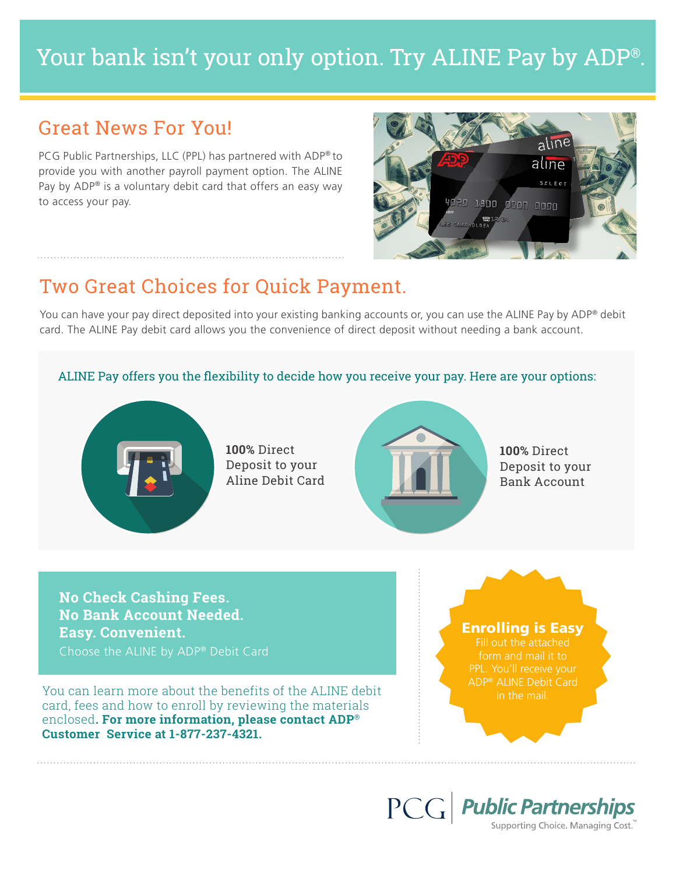# Your bank isn't your only option. Try ALINE Pay by ADP®.

## Great News For You!

PCG Public Partnerships, LLC (PPL) has partnered with ADP® to provide you with another payroll payment option. The ALINE Pay by ADP® is a voluntary debit card that offers an easy way to access your pay.



## Two Great Choices for Quick Payment.

You can have your pay direct deposited into your existing banking accounts or, you can use the ALINE Pay by ADP® debit card. The ALINE Pay debit card allows you the convenience of direct deposit without needing a bank account.

### ALINE Pay offers you the flexibility to decide how you receive your pay. Here are your options:



**100%** Direct Deposit to your Aline Debit Card



**100%** Direct Deposit to your Bank Account

**No Check Cashing Fees. No Bank Account Needed. Easy. Convenient.** Choose the ALINE by ADP® Debit Card

You can learn more about the benefits of the ALINE debit card, fees and how to enroll by reviewing the materials enclosed**. For more information, please contact ADP® Customer Service at 1-877-237-4321.** 

### Enrolling is Easy

Fill out the attached PPL. You'll receive your ADP® ALINE Debit Card in the mail.